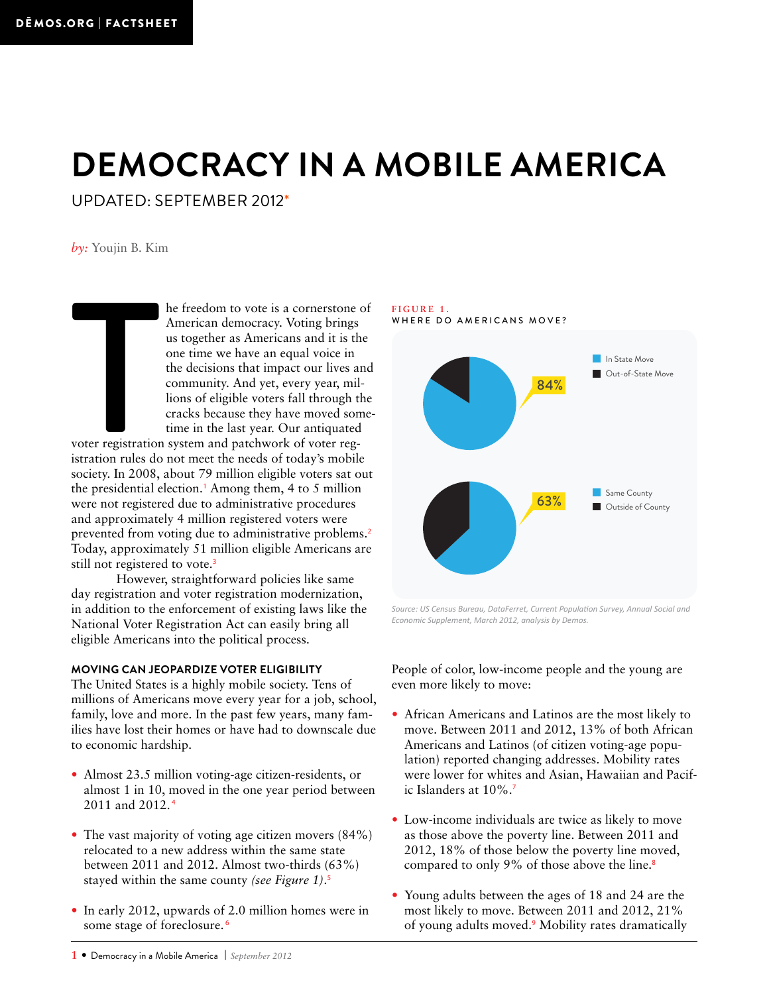# **Democracy in a Mobile America**

Updated: September 2012\*

*by:* Youjin B. Kim

voter registration<br>istration rules do<br>society. In 2008, he freedom to vote is a cornerstone of American democracy. Voting brings us together as Americans and it is the one time we have an equal voice in the decisions that impact our lives and community. And yet, every year, millions of eligible voters fall through the cracks because they have moved sometime in the last year. Our antiquated

voter registration system and patchwork of voter registration rules do not meet the needs of today's mobile society. In 2008, about 79 million eligible voters sat out the presidential election.<sup>1</sup> Among them, 4 to 5 million were not registered due to administrative procedures and approximately 4 million registered voters were prevented from voting due to administrative problems.<sup>2</sup> Today, approximately 51 million eligible Americans are still not registered to vote.<sup>3</sup>

However, straightforward policies like same day registration and voter registration modernization, in addition to the enforcement of existing laws like the National Voter Registration Act can easily bring all eligible Americans into the political process.

#### **Moving can Jeopardize Voter Eligibility**

The United States is a highly mobile society. Tens of millions of Americans move every year for a job, school, family, love and more. In the past few years, many families have lost their homes or have had to downscale due to economic hardship.

- Almost 23.5 million voting-age citizen-residents, or almost 1 in 10, moved in the one year period between 2011 and 2012.<sup>4</sup>
- The vast majority of voting age citizen movers  $(84\%)$ relocated to a new address within the same state between 2011 and 2012. Almost two-thirds (63%) stayed within the same county *(see Figure 1)*. 5
- In early 2012, upwards of 2.0 million homes were in some stage of foreclosure.<sup>6</sup>

## **Figure 1.**





*Source: US Census Bureau, DataFerret, Current Population Survey, Annual Social and Economic Supplement, March 2012, analysis by Demos.*

People of color, low-income people and the young are even more likely to move:

- African Americans and Latinos are the most likely to move. Between 2011 and 2012, 13% of both African Americans and Latinos (of citizen voting-age population) reported changing addresses. Mobility rates were lower for whites and Asian, Hawaiian and Pacific Islanders at 10%.<sup>7</sup>
- Low-income individuals are twice as likely to move as those above the poverty line. Between 2011 and 2012, 18% of those below the poverty line moved, compared to only 9% of those above the line.<sup>8</sup>
- Young adults between the ages of 18 and 24 are the most likely to move. Between 2011 and 2012, 21% of young adults moved.<sup>9</sup> Mobility rates dramatically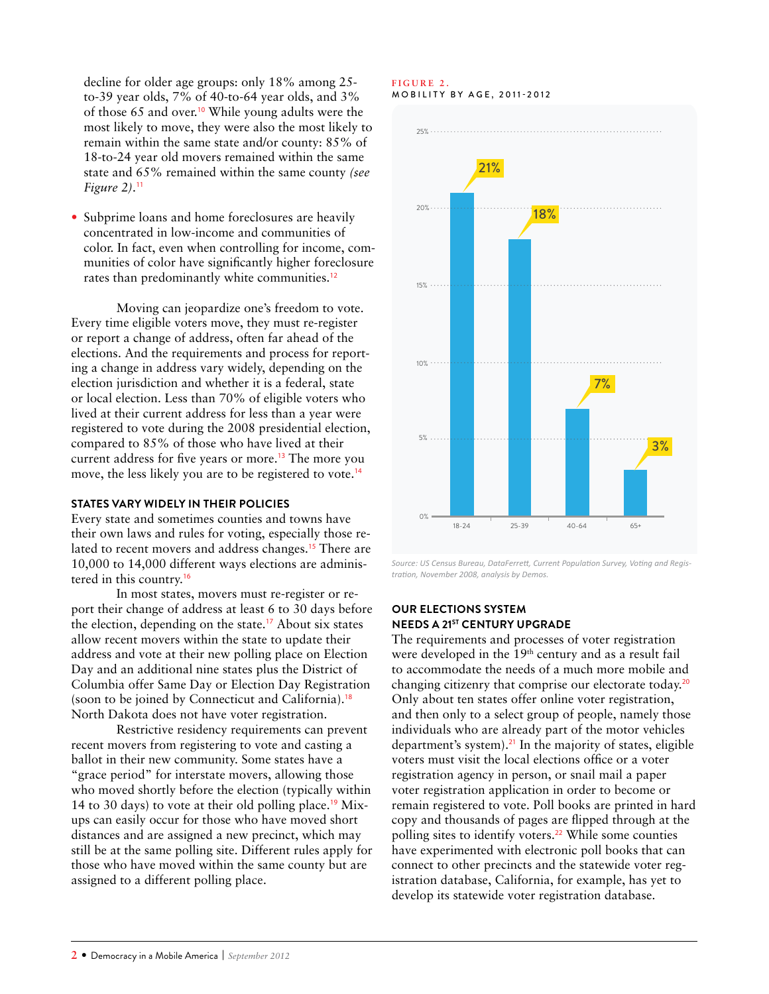decline for older age groups: only 18% among 25 to-39 year olds, 7% of 40-to-64 year olds, and 3% of those 65 and over.<sup>10</sup> While young adults were the most likely to move, they were also the most likely to remain within the same state and/or county: 85% of 18-to-24 year old movers remained within the same state and 65% remained within the same county *(see Figure 2)*. 11

• Subprime loans and home foreclosures are heavily concentrated in low-income and communities of color. In fact, even when controlling for income, communities of color have significantly higher foreclosure rates than predominantly white communities.<sup>12</sup>

Moving can jeopardize one's freedom to vote. Every time eligible voters move, they must re-register or report a change of address, often far ahead of the elections. And the requirements and process for reporting a change in address vary widely, depending on the election jurisdiction and whether it is a federal, state or local election. Less than 70% of eligible voters who lived at their current address for less than a year were registered to vote during the 2008 presidential election, compared to 85% of those who have lived at their current address for five years or more.<sup>13</sup> The more you move, the less likely you are to be registered to vote.<sup>14</sup>

## **States Vary Widely in their Policies**

Every state and sometimes counties and towns have their own laws and rules for voting, especially those related to recent movers and address changes.<sup>15</sup> There are 10,000 to 14,000 different ways elections are administered in this country.<sup>16</sup>

In most states, movers must re-register or report their change of address at least 6 to 30 days before the election, depending on the state.<sup>17</sup> About six states allow recent movers within the state to update their address and vote at their new polling place on Election Day and an additional nine states plus the District of Columbia offer Same Day or Election Day Registration (soon to be joined by Connecticut and California).<sup>18</sup> North Dakota does not have voter registration.

Restrictive residency requirements can prevent recent movers from registering to vote and casting a ballot in their new community. Some states have a "grace period" for interstate movers, allowing those who moved shortly before the election (typically within 14 to 30 days) to vote at their old polling place.<sup>19</sup> Mixups can easily occur for those who have moved short distances and are assigned a new precinct, which may still be at the same polling site. Different rules apply for those who have moved within the same county but are assigned to a different polling place.

#### **Figure 2. MOBILITY BY AGE, 2011-2012**



*Source: US Census Bureau, DataFerrett, Current Population Survey, Voting and Registration, November 2008, analysis by Demos.*

### **Our Elections System Needs a 21st Century Upgrade**

The requirements and processes of voter registration were developed in the 19<sup>th</sup> century and as a result fail to accommodate the needs of a much more mobile and changing citizenry that comprise our electorate today.<sup>20</sup> Only about ten states offer online voter registration, and then only to a select group of people, namely those individuals who are already part of the motor vehicles department's system).<sup>21</sup> In the majority of states, eligible voters must visit the local elections office or a voter registration agency in person, or snail mail a paper voter registration application in order to become or remain registered to vote. Poll books are printed in hard copy and thousands of pages are flipped through at the polling sites to identify voters.<sup>22</sup> While some counties have experimented with electronic poll books that can connect to other precincts and the statewide voter registration database, California, for example, has yet to develop its statewide voter registration database.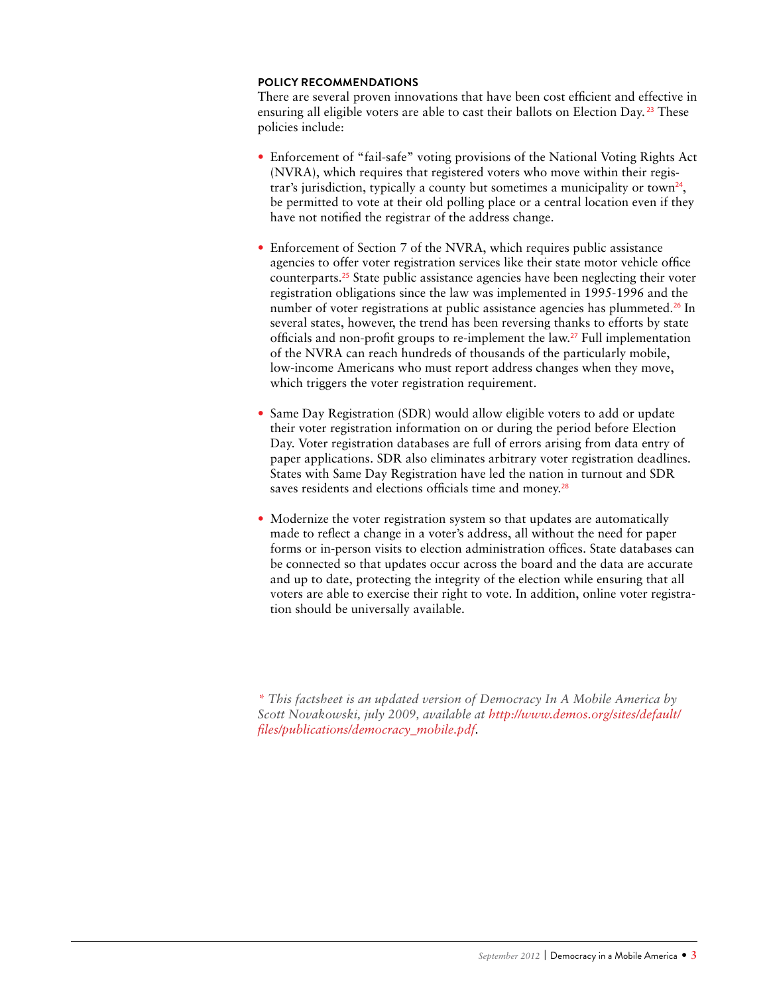## **Policy Recommendations**

There are several proven innovations that have been cost efficient and effective in ensuring all eligible voters are able to cast their ballots on Election Day.<sup>23</sup> These policies include:

- Enforcement of "fail-safe" voting provisions of the National Voting Rights Act (NVRA), which requires that registered voters who move within their registrar's jurisdiction, typically a county but sometimes a municipality or town<sup>24</sup>, be permitted to vote at their old polling place or a central location even if they have not notified the registrar of the address change.
- Enforcement of Section 7 of the NVRA, which requires public assistance agencies to offer voter registration services like their state motor vehicle office counterparts.25 State public assistance agencies have been neglecting their voter registration obligations since the law was implemented in 1995-1996 and the number of voter registrations at public assistance agencies has plummeted.<sup>26</sup> In several states, however, the trend has been reversing thanks to efforts by state officials and non-profit groups to re-implement the law.27 Full implementation of the NVRA can reach hundreds of thousands of the particularly mobile, low-income Americans who must report address changes when they move, which triggers the voter registration requirement.
- Same Day Registration (SDR) would allow eligible voters to add or update their voter registration information on or during the period before Election Day. Voter registration databases are full of errors arising from data entry of paper applications. SDR also eliminates arbitrary voter registration deadlines. States with Same Day Registration have led the nation in turnout and SDR saves residents and elections officials time and money.<sup>28</sup>
- Modernize the voter registration system so that updates are automatically made to reflect a change in a voter's address, all without the need for paper forms or in-person visits to election administration offices. State databases can be connected so that updates occur across the board and the data are accurate and up to date, protecting the integrity of the election while ensuring that all voters are able to exercise their right to vote. In addition, online voter registration should be universally available.

*\* This factsheet is an updated version of democracy In a mobile america by Scott Novakowski, july 2009, available at [http://www.demos.org/sites/default/](http://www.demos.org/sites/default/files/publications/democracy_mobile.pdf) [files/publications/democracy\\_mobile.pdf.](http://www.demos.org/sites/default/files/publications/democracy_mobile.pdf)*